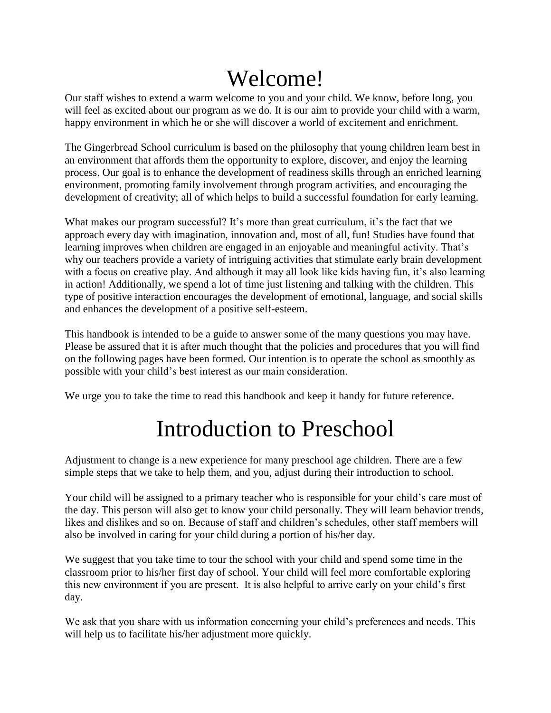# Welcome!

Our staff wishes to extend a warm welcome to you and your child. We know, before long, you will feel as excited about our program as we do. It is our aim to provide your child with a warm, happy environment in which he or she will discover a world of excitement and enrichment.

The Gingerbread School curriculum is based on the philosophy that young children learn best in an environment that affords them the opportunity to explore, discover, and enjoy the learning process. Our goal is to enhance the development of readiness skills through an enriched learning environment, promoting family involvement through program activities, and encouraging the development of creativity; all of which helps to build a successful foundation for early learning.

What makes our program successful? It's more than great curriculum, it's the fact that we approach every day with imagination, innovation and, most of all, fun! Studies have found that learning improves when children are engaged in an enjoyable and meaningful activity. That's why our teachers provide a variety of intriguing activities that stimulate early brain development with a focus on creative play. And although it may all look like kids having fun, it's also learning in action! Additionally, we spend a lot of time just listening and talking with the children. This type of positive interaction encourages the development of emotional, language, and social skills and enhances the development of a positive self-esteem.

This handbook is intended to be a guide to answer some of the many questions you may have. Please be assured that it is after much thought that the policies and procedures that you will find on the following pages have been formed. Our intention is to operate the school as smoothly as possible with your child's best interest as our main consideration.

We urge you to take the time to read this handbook and keep it handy for future reference.

# Introduction to Preschool

Adjustment to change is a new experience for many preschool age children. There are a few simple steps that we take to help them, and you, adjust during their introduction to school.

Your child will be assigned to a primary teacher who is responsible for your child's care most of the day. This person will also get to know your child personally. They will learn behavior trends, likes and dislikes and so on. Because of staff and children's schedules, other staff members will also be involved in caring for your child during a portion of his/her day.

We suggest that you take time to tour the school with your child and spend some time in the classroom prior to his/her first day of school. Your child will feel more comfortable exploring this new environment if you are present. It is also helpful to arrive early on your child's first day.

We ask that you share with us information concerning your child's preferences and needs. This will help us to facilitate his/her adjustment more quickly.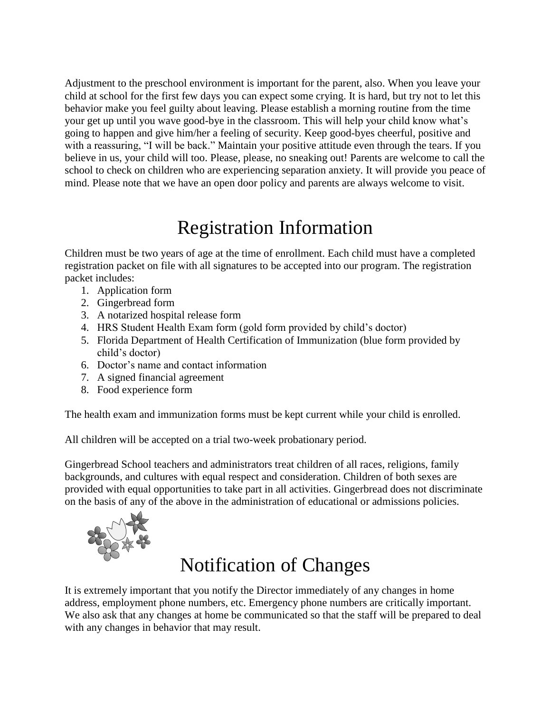Adjustment to the preschool environment is important for the parent, also. When you leave your child at school for the first few days you can expect some crying. It is hard, but try not to let this behavior make you feel guilty about leaving. Please establish a morning routine from the time your get up until you wave good-bye in the classroom. This will help your child know what's going to happen and give him/her a feeling of security. Keep good-byes cheerful, positive and with a reassuring, "I will be back." Maintain your positive attitude even through the tears. If you believe in us, your child will too. Please, please, no sneaking out! Parents are welcome to call the school to check on children who are experiencing separation anxiety. It will provide you peace of mind. Please note that we have an open door policy and parents are always welcome to visit.

## Registration Information

Children must be two years of age at the time of enrollment. Each child must have a completed registration packet on file with all signatures to be accepted into our program. The registration packet includes:

- 1. Application form
- 2. Gingerbread form
- 3. A notarized hospital release form
- 4. HRS Student Health Exam form (gold form provided by child's doctor)
- 5. Florida Department of Health Certification of Immunization (blue form provided by child's doctor)
- 6. Doctor's name and contact information
- 7. A signed financial agreement
- 8. Food experience form

The health exam and immunization forms must be kept current while your child is enrolled.

All children will be accepted on a trial two-week probationary period.

Gingerbread School teachers and administrators treat children of all races, religions, family backgrounds, and cultures with equal respect and consideration. Children of both sexes are provided with equal opportunities to take part in all activities. Gingerbread does not discriminate on the basis of any of the above in the administration of educational or admissions policies.



# Notification of Changes

It is extremely important that you notify the Director immediately of any changes in home address, employment phone numbers, etc. Emergency phone numbers are critically important. We also ask that any changes at home be communicated so that the staff will be prepared to deal with any changes in behavior that may result.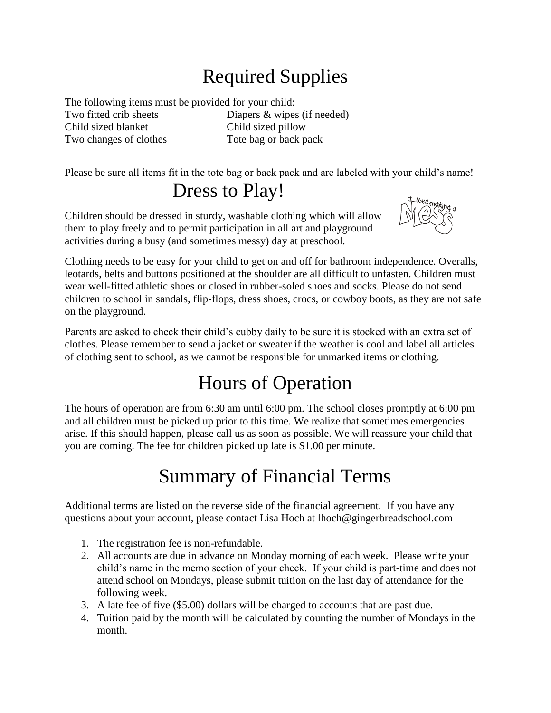# Required Supplies

The following items must be provided for your child: Two fitted crib sheets Diapers & wipes (if needed) Child sized blanket Child sized pillow Two changes of clothes Tote bag or back pack

Please be sure all items fit in the tote bag or back pack and are labeled with your child's name!

Dress to Play!

Children should be dressed in sturdy, washable clothing which will allow them to play freely and to permit participation in all art and playground activities during a busy (and sometimes messy) day at preschool.



Clothing needs to be easy for your child to get on and off for bathroom independence. Overalls, leotards, belts and buttons positioned at the shoulder are all difficult to unfasten. Children must wear well-fitted athletic shoes or closed in rubber-soled shoes and socks. Please do not send children to school in sandals, flip-flops, dress shoes, crocs, or cowboy boots, as they are not safe on the playground.

Parents are asked to check their child's cubby daily to be sure it is stocked with an extra set of clothes. Please remember to send a jacket or sweater if the weather is cool and label all articles of clothing sent to school, as we cannot be responsible for unmarked items or clothing.

# Hours of Operation

The hours of operation are from 6:30 am until 6:00 pm. The school closes promptly at 6:00 pm and all children must be picked up prior to this time. We realize that sometimes emergencies arise. If this should happen, please call us as soon as possible. We will reassure your child that you are coming. The fee for children picked up late is \$1.00 per minute.

# Summary of Financial Terms

Additional terms are listed on the reverse side of the financial agreement. If you have any questions about your account, please contact Lisa Hoch at lhoch@gingerbreadschool.com

- 1. The registration fee is non-refundable.
- 2. All accounts are due in advance on Monday morning of each week. Please write your child's name in the memo section of your check. If your child is part-time and does not attend school on Mondays, please submit tuition on the last day of attendance for the following week.
- 3. A late fee of five (\$5.00) dollars will be charged to accounts that are past due.
- 4. Tuition paid by the month will be calculated by counting the number of Mondays in the month.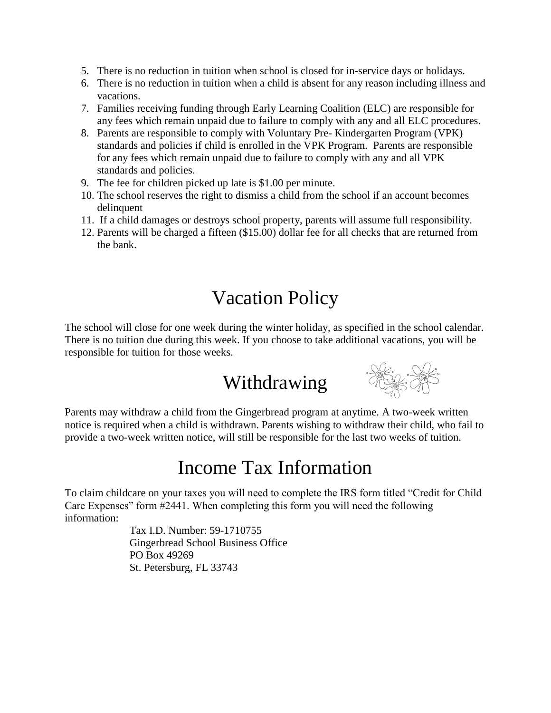- 5. There is no reduction in tuition when school is closed for in-service days or holidays.
- 6. There is no reduction in tuition when a child is absent for any reason including illness and vacations.
- 7. Families receiving funding through Early Learning Coalition (ELC) are responsible for any fees which remain unpaid due to failure to comply with any and all ELC procedures.
- 8. Parents are responsible to comply with Voluntary Pre- Kindergarten Program (VPK) standards and policies if child is enrolled in the VPK Program. Parents are responsible for any fees which remain unpaid due to failure to comply with any and all VPK standards and policies.
- 9. The fee for children picked up late is \$1.00 per minute.
- 10. The school reserves the right to dismiss a child from the school if an account becomes delinquent
- 11. If a child damages or destroys school property, parents will assume full responsibility.
- 12. Parents will be charged a fifteen (\$15.00) dollar fee for all checks that are returned from the bank.

#### Vacation Policy

The school will close for one week during the winter holiday, as specified in the school calendar. There is no tuition due during this week. If you choose to take additional vacations, you will be responsible for tuition for those weeks.

# Withdrawing



Parents may withdraw a child from the Gingerbread program at anytime. A two-week written notice is required when a child is withdrawn. Parents wishing to withdraw their child, who fail to provide a two-week written notice, will still be responsible for the last two weeks of tuition.

#### Income Tax Information

To claim childcare on your taxes you will need to complete the IRS form titled "Credit for Child Care Expenses" form #2441. When completing this form you will need the following information:

> Tax I.D. Number: 59-1710755 Gingerbread School Business Office PO Box 49269 St. Petersburg, FL 33743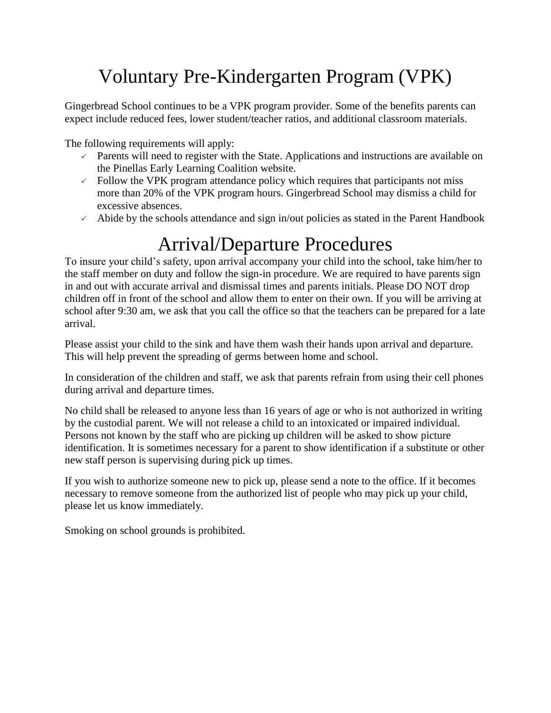# Voluntary Pre-Kindergarten Program (VPK)

Gingerbread School continues to be a VPK program provider. Some of the benefits parents can expect include reduced fees, lower student/teacher ratios, and additional classroom materials.

The following requirements will apply:

- $\sim$  Parents will need to register with the State. Applications and instructions are available on the Pinellas Early Learning Coalition website.
- $\sim$  Follow the VPK program attendance policy which requires that participants not miss more than 20% of the VPK program hours. Gingerbread School may dismiss a child for excessive absences.
- $\sim$  Abide by the schools attendance and sign in/out policies as stated in the Parent Handbook

## Arrival/Departure Procedures

To insure your child's safety, upon arrival accompany your child into the school, take him/her to the staff member on duty and follow the sign-in procedure. We are required to have parents sign in and out with accurate arrival and dismissal times and parents initials. Please DO NOT drop children off in front of the school and allow them to enter on their own. If you will be arriving at school after 9:30 am, we ask that you call the office so that the teachers can be prepared for a late arrival.

Please assist your child to the sink and have them wash their hands upon arrival and departure. This will help prevent the spreading of germs between home and school.

In consideration of the children and staff, we ask that parents refrain from using their cell phones during arrival and departure times.

No child shall be released to anyone less than 16 years of age or who is not authorized in writing by the custodial parent. We will not release a child to an intoxicated or impaired individual. Persons not known by the staff who are picking up children will be asked to show picture identification. It is sometimes necessary for a parent to show identification if a substitute or other new staff person is supervising during pick up times.

If you wish to authorize someone new to pick up, please send a note to the office. If it becomes necessary to remove someone from the authorized list of people who may pick up your child, please let us know immediately.

Smoking on school grounds is prohibited.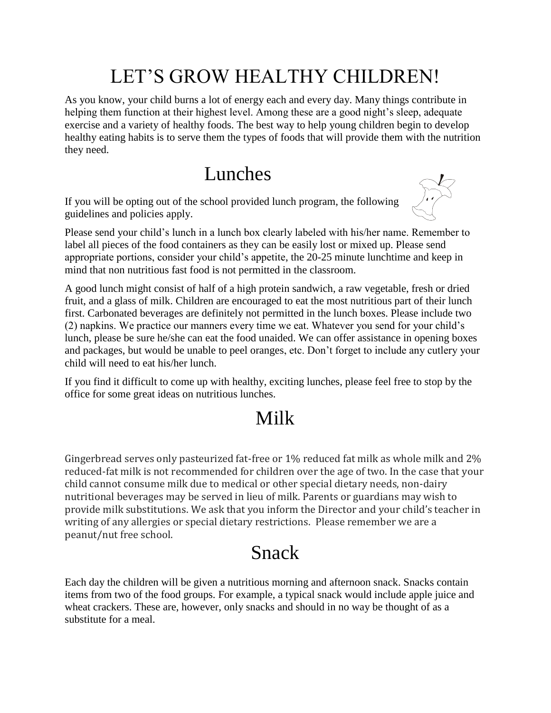# LET'S GROW HEALTHY CHILDREN!

As you know, your child burns a lot of energy each and every day. Many things contribute in helping them function at their highest level. Among these are a good night's sleep, adequate exercise and a variety of healthy foods. The best way to help young children begin to develop healthy eating habits is to serve them the types of foods that will provide them with the nutrition they need.

#### Lunches

If you will be opting out of the school provided lunch program, the following guidelines and policies apply.



Please send your child's lunch in a lunch box clearly labeled with his/her name. Remember to label all pieces of the food containers as they can be easily lost or mixed up. Please send appropriate portions, consider your child's appetite, the 20-25 minute lunchtime and keep in mind that non nutritious fast food is not permitted in the classroom.

A good lunch might consist of half of a high protein sandwich, a raw vegetable, fresh or dried fruit, and a glass of milk. Children are encouraged to eat the most nutritious part of their lunch first. Carbonated beverages are definitely not permitted in the lunch boxes. Please include two (2) napkins. We practice our manners every time we eat. Whatever you send for your child's lunch, please be sure he/she can eat the food unaided. We can offer assistance in opening boxes and packages, but would be unable to peel oranges, etc. Don't forget to include any cutlery your child will need to eat his/her lunch.

If you find it difficult to come up with healthy, exciting lunches, please feel free to stop by the office for some great ideas on nutritious lunches.

## Milk

Gingerbread serves only pasteurized fat-free or 1% reduced fat milk as whole milk and 2% reduced-fat milk is not recommended for children over the age of two. In the case that your child cannot consume milk due to medical or other special dietary needs, non-dairy nutritional beverages may be served in lieu of milk. Parents or guardians may wish to provide milk substitutions. We ask that you inform the Director and your child's teacher in writing of any allergies or special dietary restrictions. Please remember we are a peanut/nut free school.

# Snack

Each day the children will be given a nutritious morning and afternoon snack. Snacks contain items from two of the food groups. For example, a typical snack would include apple juice and wheat crackers. These are, however, only snacks and should in no way be thought of as a substitute for a meal.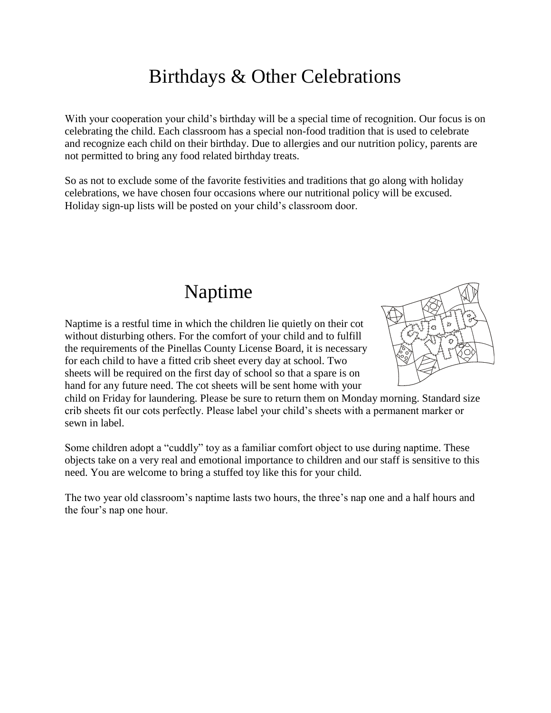## Birthdays & Other Celebrations

With your cooperation your child's birthday will be a special time of recognition. Our focus is on celebrating the child. Each classroom has a special non-food tradition that is used to celebrate and recognize each child on their birthday. Due to allergies and our nutrition policy, parents are not permitted to bring any food related birthday treats.

So as not to exclude some of the favorite festivities and traditions that go along with holiday celebrations, we have chosen four occasions where our nutritional policy will be excused. Holiday sign-up lists will be posted on your child's classroom door.

#### Naptime

Naptime is a restful time in which the children lie quietly on their cot without disturbing others. For the comfort of your child and to fulfill the requirements of the Pinellas County License Board, it is necessary for each child to have a fitted crib sheet every day at school. Two sheets will be required on the first day of school so that a spare is on hand for any future need. The cot sheets will be sent home with your



child on Friday for laundering. Please be sure to return them on Monday morning. Standard size crib sheets fit our cots perfectly. Please label your child's sheets with a permanent marker or sewn in label.

Some children adopt a "cuddly" toy as a familiar comfort object to use during naptime. These objects take on a very real and emotional importance to children and our staff is sensitive to this need. You are welcome to bring a stuffed toy like this for your child.

The two year old classroom's naptime lasts two hours, the three's nap one and a half hours and the four's nap one hour.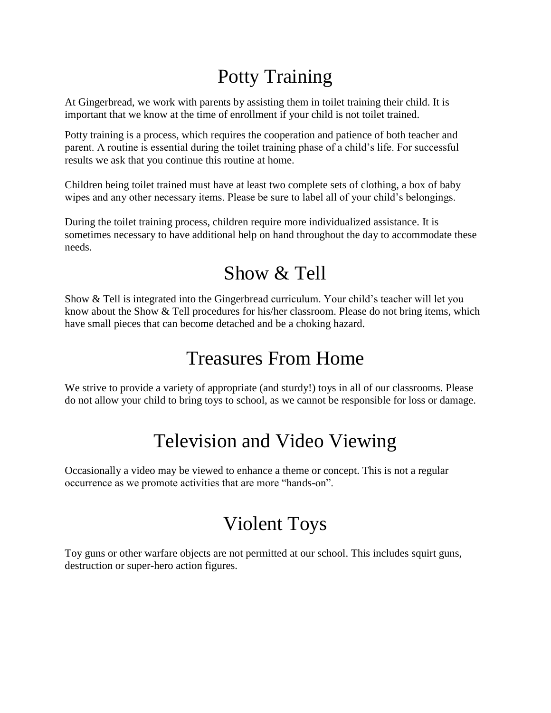# Potty Training

At Gingerbread, we work with parents by assisting them in toilet training their child. It is important that we know at the time of enrollment if your child is not toilet trained.

Potty training is a process, which requires the cooperation and patience of both teacher and parent. A routine is essential during the toilet training phase of a child's life. For successful results we ask that you continue this routine at home.

Children being toilet trained must have at least two complete sets of clothing, a box of baby wipes and any other necessary items. Please be sure to label all of your child's belongings.

During the toilet training process, children require more individualized assistance. It is sometimes necessary to have additional help on hand throughout the day to accommodate these needs.

#### Show & Tell

Show & Tell is integrated into the Gingerbread curriculum. Your child's teacher will let you know about the Show & Tell procedures for his/her classroom. Please do not bring items, which have small pieces that can become detached and be a choking hazard.

# Treasures From Home

We strive to provide a variety of appropriate (and sturdy!) toys in all of our classrooms. Please do not allow your child to bring toys to school, as we cannot be responsible for loss or damage.

# Television and Video Viewing

Occasionally a video may be viewed to enhance a theme or concept. This is not a regular occurrence as we promote activities that are more "hands-on".

# Violent Toys

Toy guns or other warfare objects are not permitted at our school. This includes squirt guns, destruction or super-hero action figures.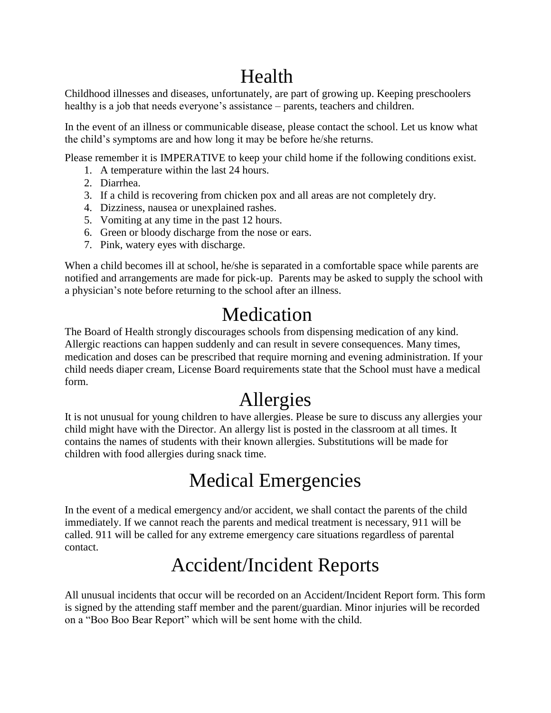# Health

Childhood illnesses and diseases, unfortunately, are part of growing up. Keeping preschoolers healthy is a job that needs everyone's assistance – parents, teachers and children.

In the event of an illness or communicable disease, please contact the school. Let us know what the child's symptoms are and how long it may be before he/she returns.

Please remember it is IMPERATIVE to keep your child home if the following conditions exist.

- 1. A temperature within the last 24 hours.
- 2. Diarrhea.
- 3. If a child is recovering from chicken pox and all areas are not completely dry.
- 4. Dizziness, nausea or unexplained rashes.
- 5. Vomiting at any time in the past 12 hours.
- 6. Green or bloody discharge from the nose or ears.
- 7. Pink, watery eyes with discharge.

When a child becomes ill at school, he/she is separated in a comfortable space while parents are notified and arrangements are made for pick-up. Parents may be asked to supply the school with a physician's note before returning to the school after an illness.

## Medication

The Board of Health strongly discourages schools from dispensing medication of any kind. Allergic reactions can happen suddenly and can result in severe consequences. Many times, medication and doses can be prescribed that require morning and evening administration. If your child needs diaper cream, License Board requirements state that the School must have a medical form.

# Allergies

It is not unusual for young children to have allergies. Please be sure to discuss any allergies your child might have with the Director. An allergy list is posted in the classroom at all times. It contains the names of students with their known allergies. Substitutions will be made for children with food allergies during snack time.

## Medical Emergencies

In the event of a medical emergency and/or accident, we shall contact the parents of the child immediately. If we cannot reach the parents and medical treatment is necessary, 911 will be called. 911 will be called for any extreme emergency care situations regardless of parental contact.

# Accident/Incident Reports

All unusual incidents that occur will be recorded on an Accident/Incident Report form. This form is signed by the attending staff member and the parent/guardian. Minor injuries will be recorded on a "Boo Boo Bear Report" which will be sent home with the child.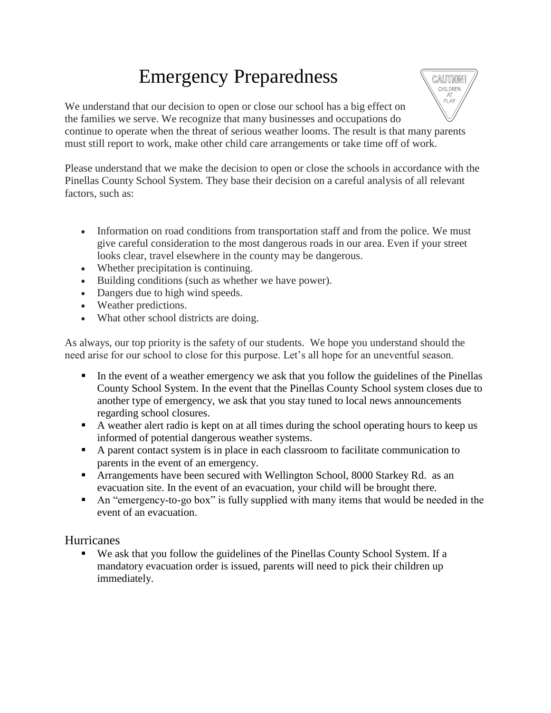# Emergency Preparedness



We understand that our decision to open or close our school has a big effect on the families we serve. We recognize that many businesses and occupations do continue to operate when the threat of serious weather looms. The result is that many parents must still report to work, make other child care arrangements or take time off of work.

Please understand that we make the decision to open or close the schools in accordance with the Pinellas County School System. They base their decision on a careful analysis of all relevant factors, such as:

- Information on road conditions from transportation staff and from the police. We must give careful consideration to the most dangerous roads in our area. Even if your street looks clear, travel elsewhere in the county may be dangerous.
- Whether precipitation is continuing.
- Building conditions (such as whether we have power).
- Dangers due to high wind speeds.
- Weather predictions.
- What other school districts are doing.

As always, our top priority is the safety of our students. We hope you understand should the need arise for our school to close for this purpose. Let's all hope for an uneventful season.

- In the event of a weather emergency we ask that you follow the guidelines of the Pinellas County School System. In the event that the Pinellas County School system closes due to another type of emergency, we ask that you stay tuned to local news announcements regarding school closures.
- A weather alert radio is kept on at all times during the school operating hours to keep us informed of potential dangerous weather systems.
- A parent contact system is in place in each classroom to facilitate communication to parents in the event of an emergency.
- **Arrangements have been secured with Wellington School, 8000 Starkey Rd.** as an evacuation site. In the event of an evacuation, your child will be brought there.
- An "emergency-to-go box" is fully supplied with many items that would be needed in the event of an evacuation.

#### **Hurricanes**

 We ask that you follow the guidelines of the Pinellas County School System. If a mandatory evacuation order is issued, parents will need to pick their children up immediately.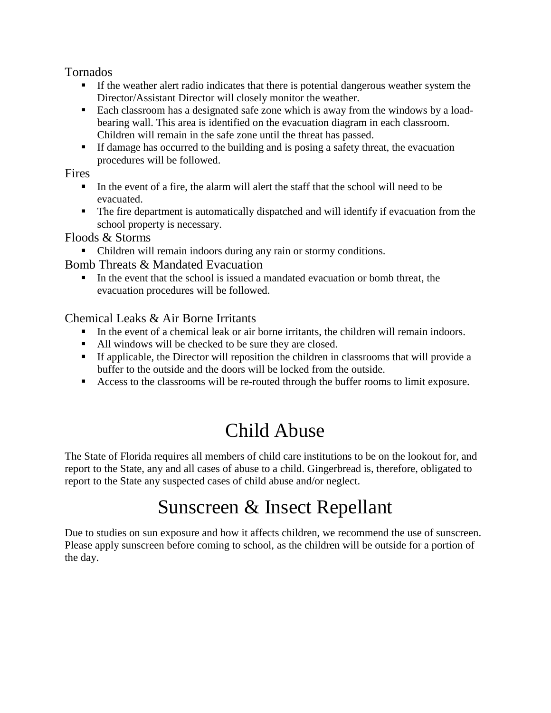Tornados

- If the weather alert radio indicates that there is potential dangerous weather system the Director/Assistant Director will closely monitor the weather.
- Each classroom has a designated safe zone which is away from the windows by a loadbearing wall. This area is identified on the evacuation diagram in each classroom. Children will remain in the safe zone until the threat has passed.
- If damage has occurred to the building and is posing a safety threat, the evacuation procedures will be followed.

**Fires** 

- In the event of a fire, the alarm will alert the staff that the school will need to be evacuated.
- The fire department is automatically dispatched and will identify if evacuation from the school property is necessary.

Floods & Storms

Children will remain indoors during any rain or stormy conditions.

Bomb Threats & Mandated Evacuation

In the event that the school is issued a mandated evacuation or bomb threat, the evacuation procedures will be followed.

#### Chemical Leaks & Air Borne Irritants

- In the event of a chemical leak or air borne irritants, the children will remain indoors.
- All windows will be checked to be sure they are closed.
- If applicable, the Director will reposition the children in classrooms that will provide a buffer to the outside and the doors will be locked from the outside.
- Access to the classrooms will be re-routed through the buffer rooms to limit exposure.

# Child Abuse

The State of Florida requires all members of child care institutions to be on the lookout for, and report to the State, any and all cases of abuse to a child. Gingerbread is, therefore, obligated to report to the State any suspected cases of child abuse and/or neglect.

# Sunscreen & Insect Repellant

Due to studies on sun exposure and how it affects children, we recommend the use of sunscreen. Please apply sunscreen before coming to school, as the children will be outside for a portion of the day.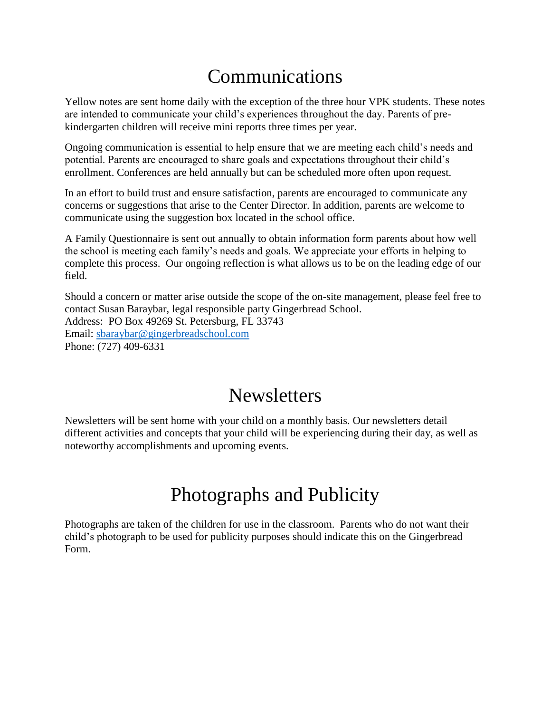## Communications

Yellow notes are sent home daily with the exception of the three hour VPK students. These notes are intended to communicate your child's experiences throughout the day. Parents of prekindergarten children will receive mini reports three times per year.

Ongoing communication is essential to help ensure that we are meeting each child's needs and potential. Parents are encouraged to share goals and expectations throughout their child's enrollment. Conferences are held annually but can be scheduled more often upon request.

In an effort to build trust and ensure satisfaction, parents are encouraged to communicate any concerns or suggestions that arise to the Center Director. In addition, parents are welcome to communicate using the suggestion box located in the school office.

A Family Questionnaire is sent out annually to obtain information form parents about how well the school is meeting each family's needs and goals. We appreciate your efforts in helping to complete this process. Our ongoing reflection is what allows us to be on the leading edge of our field.

Should a concern or matter arise outside the scope of the on-site management, please feel free to contact Susan Baraybar, legal responsible party Gingerbread School. Address: PO Box 49269 St. Petersburg, FL 33743 Email: [sbaraybar@gingerbreadschool.com](mailto:sbaraybar@gingerbreadschool.com) Phone: (727) 409-6331

#### **Newsletters**

Newsletters will be sent home with your child on a monthly basis. Our newsletters detail different activities and concepts that your child will be experiencing during their day, as well as noteworthy accomplishments and upcoming events.

## Photographs and Publicity

Photographs are taken of the children for use in the classroom. Parents who do not want their child's photograph to be used for publicity purposes should indicate this on the Gingerbread Form.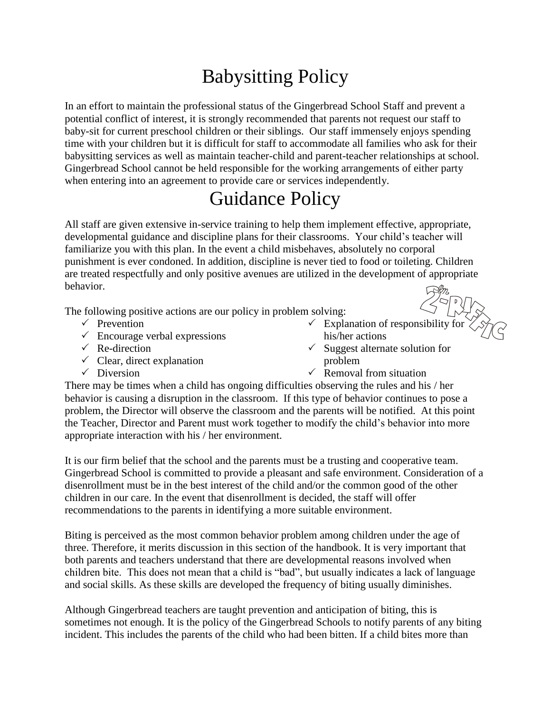# Babysitting Policy

In an effort to maintain the professional status of the Gingerbread School Staff and prevent a potential conflict of interest, it is strongly recommended that parents not request our staff to baby-sit for current preschool children or their siblings. Our staff immensely enjoys spending time with your children but it is difficult for staff to accommodate all families who ask for their babysitting services as well as maintain teacher-child and parent-teacher relationships at school. Gingerbread School cannot be held responsible for the working arrangements of either party when entering into an agreement to provide care or services independently.

#### Guidance Policy

All staff are given extensive in-service training to help them implement effective, appropriate, developmental guidance and discipline plans for their classrooms. Your child's teacher will familiarize you with this plan. In the event a child misbehaves, absolutely no corporal punishment is ever condoned. In addition, discipline is never tied to food or toileting. Children are treated respectfully and only positive avenues are utilized in the development of appropriate behavior.

The following positive actions are our policy in problem solving:

- $\checkmark$  Prevention
- $\checkmark$  Encourage verbal expressions
- $\sqrt{\phantom{a}}$  Re-direction
- $\checkmark$  Clear, direct explanation
- $\checkmark$  Explanation of responsibility for his/her actions
- $\checkmark$  Suggest alternate solution for problem

 $\checkmark$  Diversion

 $\checkmark$  Removal from situation

There may be times when a child has ongoing difficulties observing the rules and his / her behavior is causing a disruption in the classroom. If this type of behavior continues to pose a problem, the Director will observe the classroom and the parents will be notified. At this point the Teacher, Director and Parent must work together to modify the child's behavior into more appropriate interaction with his / her environment.

It is our firm belief that the school and the parents must be a trusting and cooperative team. Gingerbread School is committed to provide a pleasant and safe environment. Consideration of a disenrollment must be in the best interest of the child and/or the common good of the other children in our care. In the event that disenrollment is decided, the staff will offer recommendations to the parents in identifying a more suitable environment.

Biting is perceived as the most common behavior problem among children under the age of three. Therefore, it merits discussion in this section of the handbook. It is very important that both parents and teachers understand that there are developmental reasons involved when children bite. This does not mean that a child is "bad", but usually indicates a lack of language and social skills. As these skills are developed the frequency of biting usually diminishes.

Although Gingerbread teachers are taught prevention and anticipation of biting, this is sometimes not enough. It is the policy of the Gingerbread Schools to notify parents of any biting incident. This includes the parents of the child who had been bitten. If a child bites more than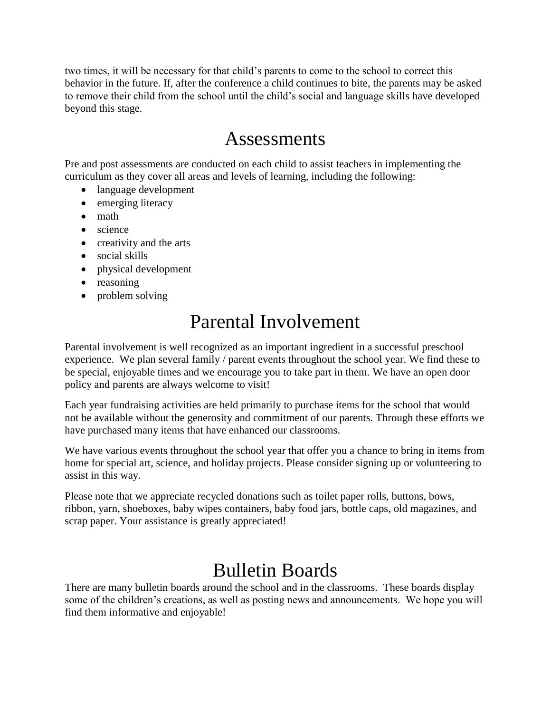two times, it will be necessary for that child's parents to come to the school to correct this behavior in the future. If, after the conference a child continues to bite, the parents may be asked to remove their child from the school until the child's social and language skills have developed beyond this stage.

#### Assessments

Pre and post assessments are conducted on each child to assist teachers in implementing the curriculum as they cover all areas and levels of learning, including the following:

- language development
- emerging literacy
- math
- science
- creativity and the arts
- social skills
- physical development
- reasoning
- problem solving

## Parental Involvement

Parental involvement is well recognized as an important ingredient in a successful preschool experience. We plan several family / parent events throughout the school year. We find these to be special, enjoyable times and we encourage you to take part in them. We have an open door policy and parents are always welcome to visit!

Each year fundraising activities are held primarily to purchase items for the school that would not be available without the generosity and commitment of our parents. Through these efforts we have purchased many items that have enhanced our classrooms.

We have various events throughout the school year that offer you a chance to bring in items from home for special art, science, and holiday projects. Please consider signing up or volunteering to assist in this way.

Please note that we appreciate recycled donations such as toilet paper rolls, buttons, bows, ribbon, yarn, shoeboxes, baby wipes containers, baby food jars, bottle caps, old magazines, and scrap paper. Your assistance is greatly appreciated!

## Bulletin Boards

There are many bulletin boards around the school and in the classrooms. These boards display some of the children's creations, as well as posting news and announcements. We hope you will find them informative and enjoyable!